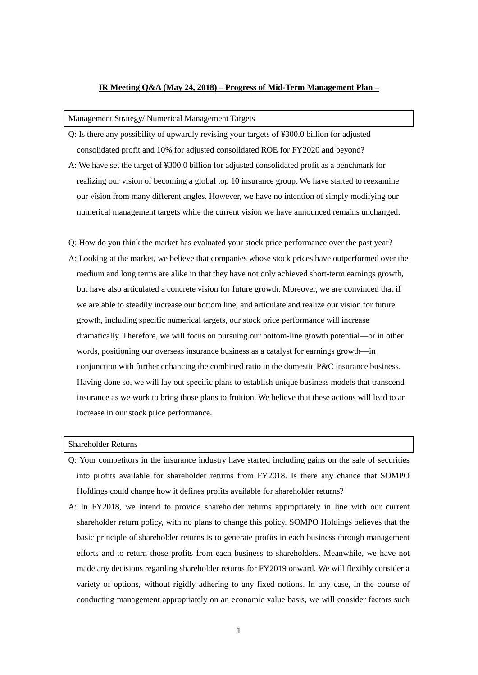### **IR Meeting Q&A (May 24, 2018) – Progress of Mid-Term Management Plan –**

# Management Strategy/ Numerical Management Targets

- Q: Is there any possibility of upwardly revising your targets of ¥300.0 billion for adjusted consolidated profit and 10% for adjusted consolidated ROE for FY2020 and beyond?
- A: We have set the target of ¥300.0 billion for adjusted consolidated profit as a benchmark for realizing our vision of becoming a global top 10 insurance group. We have started to reexamine our vision from many different angles. However, we have no intention of simply modifying our numerical management targets while the current vision we have announced remains unchanged.
- Q: How do you think the market has evaluated your stock price performance over the past year? A: Looking at the market, we believe that companies whose stock prices have outperformed over the medium and long terms are alike in that they have not only achieved short-term earnings growth, but have also articulated a concrete vision for future growth. Moreover, we are convinced that if we are able to steadily increase our bottom line, and articulate and realize our vision for future growth, including specific numerical targets, our stock price performance will increase dramatically. Therefore, we will focus on pursuing our bottom-line growth potential—or in other words, positioning our overseas insurance business as a catalyst for earnings growth—in conjunction with further enhancing the combined ratio in the domestic P&C insurance business. Having done so, we will lay out specific plans to establish unique business models that transcend insurance as we work to bring those plans to fruition. We believe that these actions will lead to an increase in our stock price performance.

Shareholder Returns

- Q: Your competitors in the insurance industry have started including gains on the sale of securities into profits available for shareholder returns from FY2018. Is there any chance that SOMPO Holdings could change how it defines profits available for shareholder returns?
- A: In FY2018, we intend to provide shareholder returns appropriately in line with our current shareholder return policy, with no plans to change this policy. SOMPO Holdings believes that the basic principle of shareholder returns is to generate profits in each business through management efforts and to return those profits from each business to shareholders. Meanwhile, we have not made any decisions regarding shareholder returns for FY2019 onward. We will flexibly consider a variety of options, without rigidly adhering to any fixed notions. In any case, in the course of conducting management appropriately on an economic value basis, we will consider factors such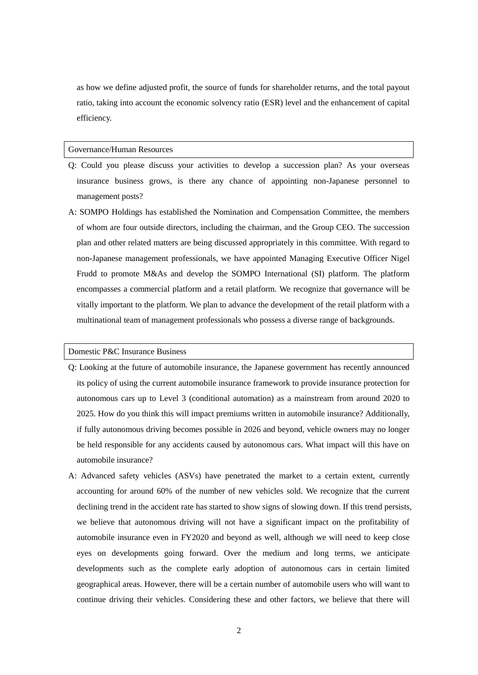as how we define adjusted profit, the source of funds for shareholder returns, and the total payout ratio, taking into account the economic solvency ratio (ESR) level and the enhancement of capital efficiency.

#### Governance/Human Resources

- Q: Could you please discuss your activities to develop a succession plan? As your overseas insurance business grows, is there any chance of appointing non-Japanese personnel to management posts?
- A: SOMPO Holdings has established the Nomination and Compensation Committee, the members of whom are four outside directors, including the chairman, and the Group CEO. The succession plan and other related matters are being discussed appropriately in this committee. With regard to non-Japanese management professionals, we have appointed Managing Executive Officer Nigel Frudd to promote M&As and develop the SOMPO International (SI) platform. The platform encompasses a commercial platform and a retail platform. We recognize that governance will be vitally important to the platform. We plan to advance the development of the retail platform with a multinational team of management professionals who possess a diverse range of backgrounds.

# Domestic P&C Insurance Business

- Q: Looking at the future of automobile insurance, the Japanese government has recently announced its policy of using the current automobile insurance framework to provide insurance protection for autonomous cars up to Level 3 (conditional automation) as a mainstream from around 2020 to 2025. How do you think this will impact premiums written in automobile insurance? Additionally, if fully autonomous driving becomes possible in 2026 and beyond, vehicle owners may no longer be held responsible for any accidents caused by autonomous cars. What impact will this have on automobile insurance?
- A: Advanced safety vehicles (ASVs) have penetrated the market to a certain extent, currently accounting for around 60% of the number of new vehicles sold. We recognize that the current declining trend in the accident rate has started to show signs of slowing down. If this trend persists, we believe that autonomous driving will not have a significant impact on the profitability of automobile insurance even in FY2020 and beyond as well, although we will need to keep close eyes on developments going forward. Over the medium and long terms, we anticipate developments such as the complete early adoption of autonomous cars in certain limited geographical areas. However, there will be a certain number of automobile users who will want to continue driving their vehicles. Considering these and other factors, we believe that there will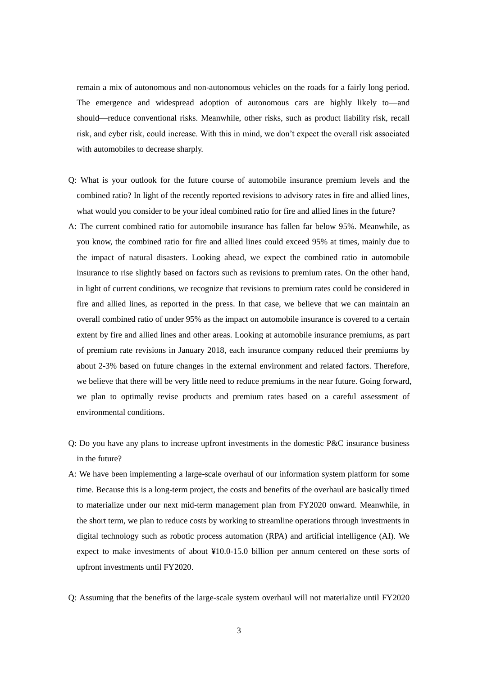remain a mix of autonomous and non-autonomous vehicles on the roads for a fairly long period. The emergence and widespread adoption of autonomous cars are highly likely to—and should—reduce conventional risks. Meanwhile, other risks, such as product liability risk, recall risk, and cyber risk, could increase. With this in mind, we don't expect the overall risk associated with automobiles to decrease sharply.

- Q: What is your outlook for the future course of automobile insurance premium levels and the combined ratio? In light of the recently reported revisions to advisory rates in fire and allied lines, what would you consider to be your ideal combined ratio for fire and allied lines in the future?
- A: The current combined ratio for automobile insurance has fallen far below 95%. Meanwhile, as you know, the combined ratio for fire and allied lines could exceed 95% at times, mainly due to the impact of natural disasters. Looking ahead, we expect the combined ratio in automobile insurance to rise slightly based on factors such as revisions to premium rates. On the other hand, in light of current conditions, we recognize that revisions to premium rates could be considered in fire and allied lines, as reported in the press. In that case, we believe that we can maintain an overall combined ratio of under 95% as the impact on automobile insurance is covered to a certain extent by fire and allied lines and other areas. Looking at automobile insurance premiums, as part of premium rate revisions in January 2018, each insurance company reduced their premiums by about 2-3% based on future changes in the external environment and related factors. Therefore, we believe that there will be very little need to reduce premiums in the near future. Going forward, we plan to optimally revise products and premium rates based on a careful assessment of environmental conditions.
- $Q: Do$  you have any plans to increase upfront investments in the domestic  $P\&C$  insurance business in the future?
- A: We have been implementing a large-scale overhaul of our information system platform for some time. Because this is a long-term project, the costs and benefits of the overhaul are basically timed to materialize under our next mid-term management plan from FY2020 onward. Meanwhile, in the short term, we plan to reduce costs by working to streamline operations through investments in digital technology such as robotic process automation (RPA) and artificial intelligence (AI). We expect to make investments of about ¥10.0-15.0 billion per annum centered on these sorts of upfront investments until FY2020.
- Q: Assuming that the benefits of the large-scale system overhaul will not materialize until FY2020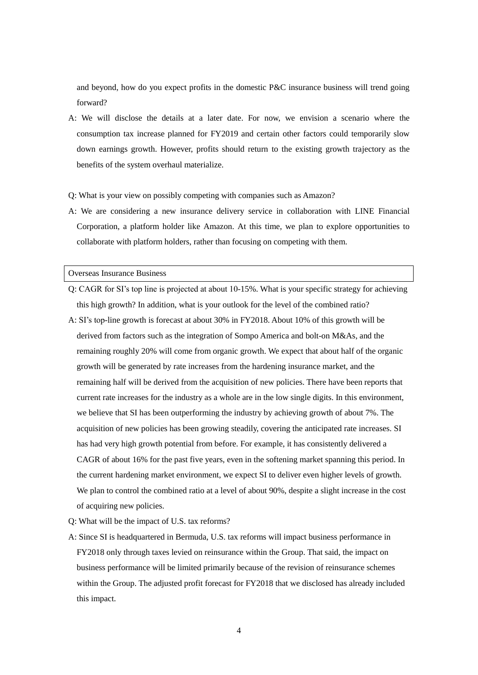and beyond, how do you expect profits in the domestic P&C insurance business will trend going forward?

A: We will disclose the details at a later date. For now, we envision a scenario where the consumption tax increase planned for FY2019 and certain other factors could temporarily slow down earnings growth. However, profits should return to the existing growth trajectory as the benefits of the system overhaul materialize.

Q: What is your view on possibly competing with companies such as Amazon?

A: We are considering a new insurance delivery service in collaboration with LINE Financial Corporation, a platform holder like Amazon. At this time, we plan to explore opportunities to collaborate with platform holders, rather than focusing on competing with them.

# Overseas Insurance Business

- Q: CAGR for SI's top line is projected at about 10-15%. What is your specific strategy for achieving this high growth? In addition, what is your outlook for the level of the combined ratio? A: SI's top-line growth is forecast at about 30% in FY2018. About 10% of this growth will be derived from factors such as the integration of Sompo America and bolt-on M&As, and the remaining roughly 20% will come from organic growth. We expect that about half of the organic growth will be generated by rate increases from the hardening insurance market, and the remaining half will be derived from the acquisition of new policies. There have been reports that current rate increases for the industry as a whole are in the low single digits. In this environment, we believe that SI has been outperforming the industry by achieving growth of about 7%. The acquisition of new policies has been growing steadily, covering the anticipated rate increases. SI has had very high growth potential from before. For example, it has consistently delivered a CAGR of about 16% for the past five years, even in the softening market spanning this period. In the current hardening market environment, we expect SI to deliver even higher levels of growth. We plan to control the combined ratio at a level of about 90%, despite a slight increase in the cost of acquiring new policies.
- Q: What will be the impact of U.S. tax reforms?
- A: Since SI is headquartered in Bermuda, U.S. tax reforms will impact business performance in FY2018 only through taxes levied on reinsurance within the Group. That said, the impact on business performance will be limited primarily because of the revision of reinsurance schemes within the Group. The adjusted profit forecast for FY2018 that we disclosed has already included this impact.